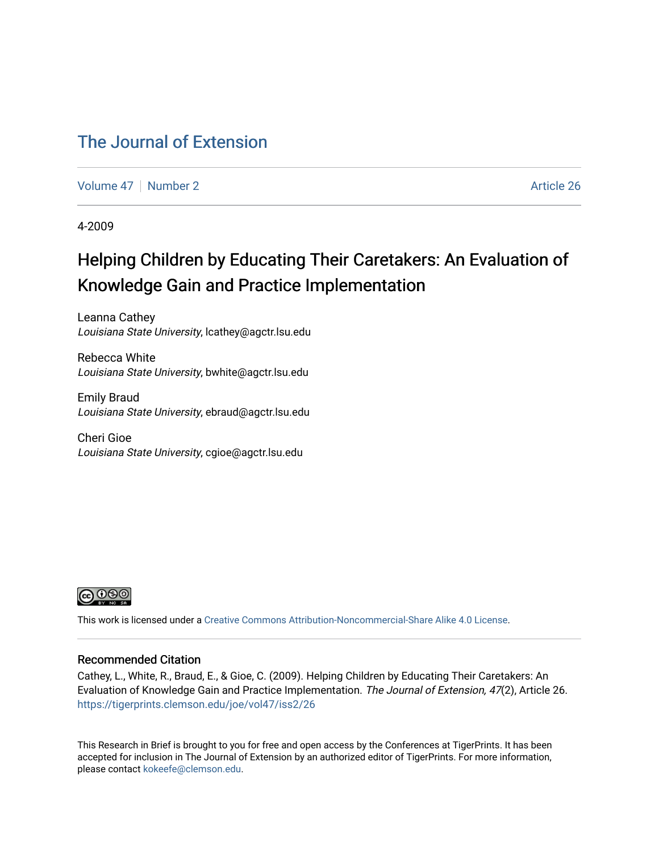### [The Journal of Extension](https://tigerprints.clemson.edu/joe)

[Volume 47](https://tigerprints.clemson.edu/joe/vol47) | [Number 2](https://tigerprints.clemson.edu/joe/vol47/iss2) Article 26

4-2009

## Helping Children by Educating Their Caretakers: An Evaluation of Knowledge Gain and Practice Implementation

Leanna Cathey Louisiana State University, lcathey@agctr.lsu.edu

Rebecca White Louisiana State University, bwhite@agctr.lsu.edu

Emily Braud Louisiana State University, ebraud@agctr.lsu.edu

Cheri Gioe Louisiana State University, cgioe@agctr.lsu.edu



This work is licensed under a [Creative Commons Attribution-Noncommercial-Share Alike 4.0 License.](https://creativecommons.org/licenses/by-nc-sa/4.0/)

#### Recommended Citation

Cathey, L., White, R., Braud, E., & Gioe, C. (2009). Helping Children by Educating Their Caretakers: An Evaluation of Knowledge Gain and Practice Implementation. The Journal of Extension, 47(2), Article 26. <https://tigerprints.clemson.edu/joe/vol47/iss2/26>

This Research in Brief is brought to you for free and open access by the Conferences at TigerPrints. It has been accepted for inclusion in The Journal of Extension by an authorized editor of TigerPrints. For more information, please contact [kokeefe@clemson.edu](mailto:kokeefe@clemson.edu).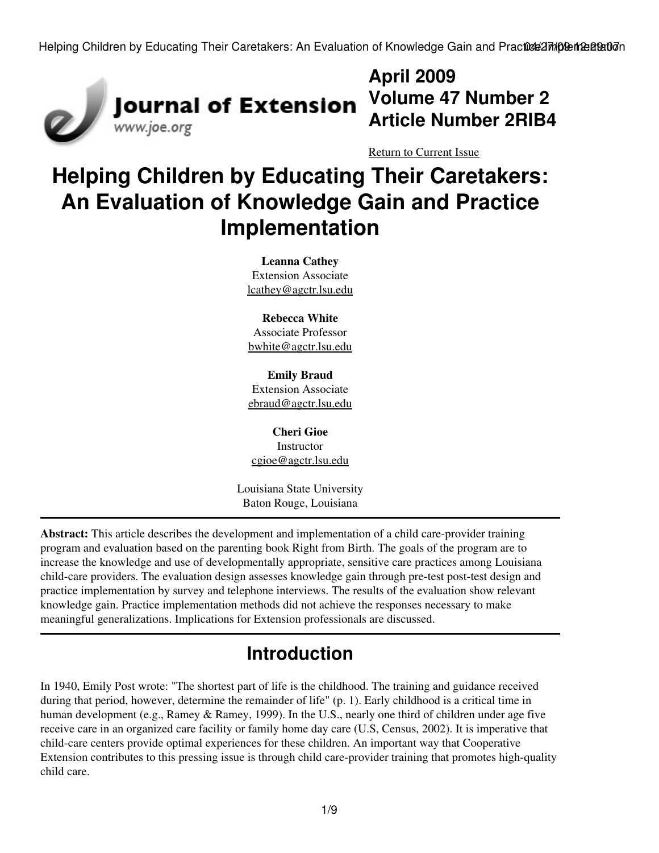Helping Children by Educating Their Caretakers: An Evaluation of Knowledge Gain and Practice Implementation



# **April 2009 Volume 47 Number 2 Article Number 2RIB4**

[Return to Current Issue](http://www.joe.org:80/joe/2009april/)

# **Helping Children by Educating Their Caretakers: An Evaluation of Knowledge Gain and Practice Implementation**

**Leanna Cathey** Extension Associate [lcathey@agctr.lsu.edu](mailto:lcathey@agctr.lsu.edu)

**Rebecca White** Associate Professor

[bwhite@agctr.lsu.edu](mailto:bwhite@agctr.lsu.edu)

**Emily Braud** Extension Associate [ebraud@agctr.lsu.edu](mailto:ebraud@agctr.lsu.edu)

**Cheri Gioe Instructor** [cgioe@agctr.lsu.edu](mailto:cgioe@agctr.lsu.edu)

Louisiana State University Baton Rouge, Louisiana

**Abstract:** This article describes the development and implementation of a child care-provider training program and evaluation based on the parenting book Right from Birth. The goals of the program are to increase the knowledge and use of developmentally appropriate, sensitive care practices among Louisiana child-care providers. The evaluation design assesses knowledge gain through pre-test post-test design and practice implementation by survey and telephone interviews. The results of the evaluation show relevant knowledge gain. Practice implementation methods did not achieve the responses necessary to make meaningful generalizations. Implications for Extension professionals are discussed.

# **Introduction**

In 1940, Emily Post wrote: "The shortest part of life is the childhood. The training and guidance received during that period, however, determine the remainder of life" (p. 1). Early childhood is a critical time in human development (e.g., Ramey & Ramey, 1999). In the U.S., nearly one third of children under age five receive care in an organized care facility or family home day care (U.S, Census, 2002). It is imperative that child-care centers provide optimal experiences for these children. An important way that Cooperative Extension contributes to this pressing issue is through child care-provider training that promotes high-quality child care.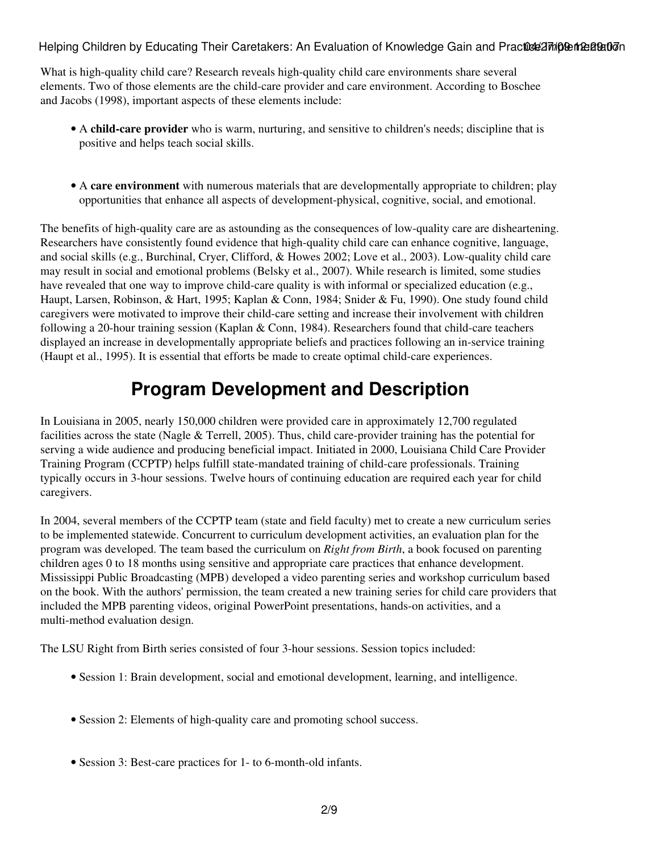Helping Children by Educating Their Caretakers: An Evaluation of Knowledge Gain and Practice Implementation

What is high-quality child care? Research reveals high-quality child care environments share several elements. Two of those elements are the child-care provider and care environment. According to Boschee and Jacobs (1998), important aspects of these elements include:

- A child-care provider who is warm, nurturing, and sensitive to children's needs; discipline that is positive and helps teach social skills.
- A care environment with numerous materials that are developmentally appropriate to children; play opportunities that enhance all aspects of development-physical, cognitive, social, and emotional.

The benefits of high-quality care are as astounding as the consequences of low-quality care are disheartening. Researchers have consistently found evidence that high-quality child care can enhance cognitive, language, and social skills (e.g., Burchinal, Cryer, Clifford, & Howes 2002; Love et al., 2003). Low-quality child care may result in social and emotional problems (Belsky et al., 2007). While research is limited, some studies have revealed that one way to improve child-care quality is with informal or specialized education (e.g., Haupt, Larsen, Robinson, & Hart, 1995; Kaplan & Conn, 1984; Snider & Fu, 1990). One study found child caregivers were motivated to improve their child-care setting and increase their involvement with children following a 20-hour training session (Kaplan & Conn, 1984). Researchers found that child-care teachers displayed an increase in developmentally appropriate beliefs and practices following an in-service training (Haupt et al., 1995). It is essential that efforts be made to create optimal child-care experiences.

## **Program Development and Description**

In Louisiana in 2005, nearly 150,000 children were provided care in approximately 12,700 regulated facilities across the state (Nagle & Terrell, 2005). Thus, child care-provider training has the potential for serving a wide audience and producing beneficial impact. Initiated in 2000, Louisiana Child Care Provider Training Program (CCPTP) helps fulfill state-mandated training of child-care professionals. Training typically occurs in 3-hour sessions. Twelve hours of continuing education are required each year for child caregivers.

In 2004, several members of the CCPTP team (state and field faculty) met to create a new curriculum series to be implemented statewide. Concurrent to curriculum development activities, an evaluation plan for the program was developed. The team based the curriculum on *Right from Birth*, a book focused on parenting children ages 0 to 18 months using sensitive and appropriate care practices that enhance development. Mississippi Public Broadcasting (MPB) developed a video parenting series and workshop curriculum based on the book. With the authors' permission, the team created a new training series for child care providers that included the MPB parenting videos, original PowerPoint presentations, hands-on activities, and a multi-method evaluation design.

The LSU Right from Birth series consisted of four 3-hour sessions. Session topics included:

- Session 1: Brain development, social and emotional development, learning, and intelligence.
- Session 2: Elements of high-quality care and promoting school success.
- Session 3: Best-care practices for 1- to 6-month-old infants.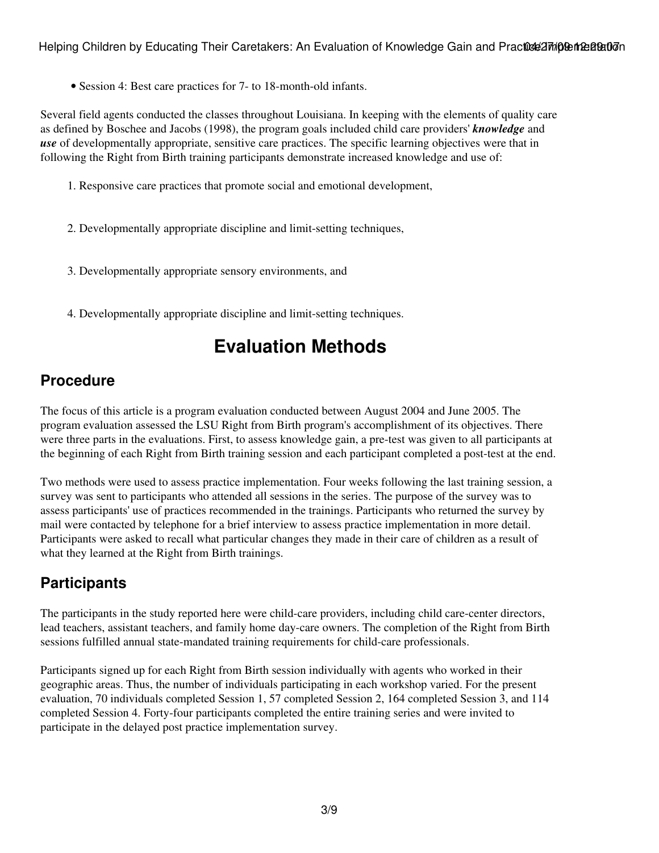• Session 4: Best care practices for 7- to 18-month-old infants.

Several field agents conducted the classes throughout Louisiana. In keeping with the elements of quality care as defined by Boschee and Jacobs (1998), the program goals included child care providers' *knowledge* and *use* of developmentally appropriate, sensitive care practices. The specific learning objectives were that in following the Right from Birth training participants demonstrate increased knowledge and use of:

- 1. Responsive care practices that promote social and emotional development,
- 2. Developmentally appropriate discipline and limit-setting techniques,
- 3. Developmentally appropriate sensory environments, and
- 4. Developmentally appropriate discipline and limit-setting techniques.

## **Evaluation Methods**

#### **Procedure**

The focus of this article is a program evaluation conducted between August 2004 and June 2005. The program evaluation assessed the LSU Right from Birth program's accomplishment of its objectives. There were three parts in the evaluations. First, to assess knowledge gain, a pre-test was given to all participants at the beginning of each Right from Birth training session and each participant completed a post-test at the end.

Two methods were used to assess practice implementation. Four weeks following the last training session, a survey was sent to participants who attended all sessions in the series. The purpose of the survey was to assess participants' use of practices recommended in the trainings. Participants who returned the survey by mail were contacted by telephone for a brief interview to assess practice implementation in more detail. Participants were asked to recall what particular changes they made in their care of children as a result of what they learned at the Right from Birth trainings.

#### **Participants**

The participants in the study reported here were child-care providers, including child care-center directors, lead teachers, assistant teachers, and family home day-care owners. The completion of the Right from Birth sessions fulfilled annual state-mandated training requirements for child-care professionals.

Participants signed up for each Right from Birth session individually with agents who worked in their geographic areas. Thus, the number of individuals participating in each workshop varied. For the present evaluation, 70 individuals completed Session 1, 57 completed Session 2, 164 completed Session 3, and 114 completed Session 4. Forty-four participants completed the entire training series and were invited to participate in the delayed post practice implementation survey.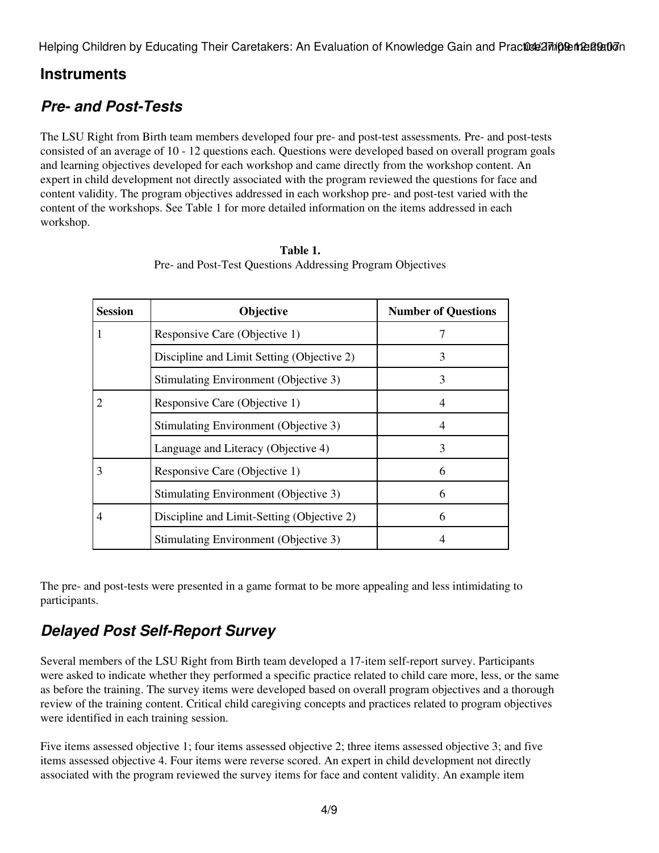Helping Children by Educating Their Caretakers: An Evaluation of Knowledge Gain and Practos 277/09 the 28 2010

#### **Instruments**

### *Pre- and Post-Tests*

The LSU Right from Birth team members developed four pre- and post-test assessments*.* Pre- and post-tests consisted of an average of 10 - 12 questions each. Questions were developed based on overall program goals and learning objectives developed for each workshop and came directly from the workshop content. An expert in child development not directly associated with the program reviewed the questions for face and content validity. The program objectives addressed in each workshop pre- and post-test varied with the content of the workshops. See Table 1 for more detailed information on the items addressed in each workshop.

| Session | Objective                                  | <b>Number of Questions</b> |
|---------|--------------------------------------------|----------------------------|
|         | Responsive Care (Objective 1)              | 7                          |
|         | Discipline and Limit Setting (Objective 2) | 3                          |
|         | Stimulating Environment (Objective 3)      | 3                          |
|         | Responsive Care (Objective 1)              | 4                          |
|         | Stimulating Environment (Objective 3)      |                            |
|         | Language and Literacy (Objective 4)        | 3                          |
| 3       | Responsive Care (Objective 1)              | 6                          |
|         | Stimulating Environment (Objective 3)      | 6                          |
| 4       | Discipline and Limit-Setting (Objective 2) | 6                          |
|         | Stimulating Environment (Objective 3)      |                            |

| Table 1.                                                   |
|------------------------------------------------------------|
| Pre- and Post-Test Questions Addressing Program Objectives |

The pre- and post-tests were presented in a game format to be more appealing and less intimidating to participants.

### *Delayed Post Self-Report Survey*

Several members of the LSU Right from Birth team developed a 17-item self-report survey. Participants were asked to indicate whether they performed a specific practice related to child care more, less, or the same as before the training. The survey items were developed based on overall program objectives and a thorough review of the training content. Critical child caregiving concepts and practices related to program objectives were identified in each training session.

Five items assessed objective 1; four items assessed objective 2; three items assessed objective 3; and five items assessed objective 4. Four items were reverse scored. An expert in child development not directly associated with the program reviewed the survey items for face and content validity. An example item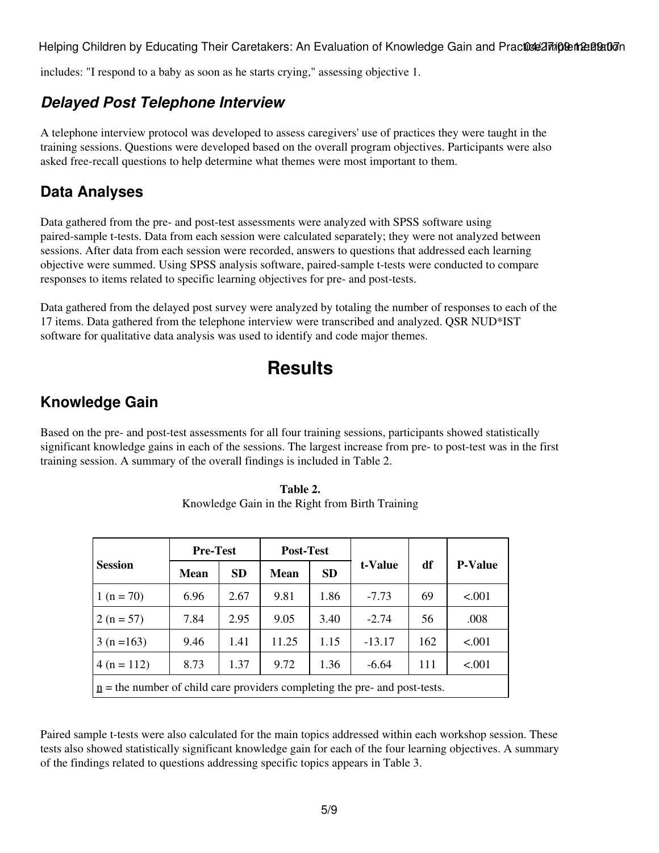Helping Children by Educating Their Caretakers: An Evaluation of Knowledge Gain and Practos 277/09 12:28:07/09

includes: "I respond to a baby as soon as he starts crying," assessing objective 1.

#### *Delayed Post Telephone Interview*

A telephone interview protocol was developed to assess caregivers' use of practices they were taught in the training sessions. Questions were developed based on the overall program objectives. Participants were also asked free-recall questions to help determine what themes were most important to them.

#### **Data Analyses**

Data gathered from the pre- and post-test assessments were analyzed with SPSS software using paired-sample t-tests. Data from each session were calculated separately; they were not analyzed between sessions. After data from each session were recorded, answers to questions that addressed each learning objective were summed. Using SPSS analysis software, paired-sample t-tests were conducted to compare responses to items related to specific learning objectives for pre- and post-tests.

Data gathered from the delayed post survey were analyzed by totaling the number of responses to each of the 17 items. Data gathered from the telephone interview were transcribed and analyzed. QSR NUD\*IST software for qualitative data analysis was used to identify and code major themes.

### **Results**

#### **Knowledge Gain**

Based on the pre- and post-test assessments for all four training sessions, participants showed statistically significant knowledge gains in each of the sessions. The largest increase from pre- to post-test was in the first training session. A summary of the overall findings is included in Table 2.

|                                                                              | <b>Pre-Test</b> |           | <b>Post-Test</b> |           |          |     |                |
|------------------------------------------------------------------------------|-----------------|-----------|------------------|-----------|----------|-----|----------------|
| <b>Session</b>                                                               | <b>Mean</b>     | <b>SD</b> | <b>Mean</b>      | <b>SD</b> | t-Value  | df  | <b>P-Value</b> |
| $1(n = 70)$                                                                  | 6.96            | 2.67      | 9.81             | 1.86      | $-7.73$  | 69  | < .001         |
| $2(n = 57)$                                                                  | 7.84            | 2.95      | 9.05             | 3.40      | $-2.74$  | 56  | .008           |
| $3(n=163)$                                                                   | 9.46            | 1.41      | 11.25            | 1.15      | $-13.17$ | 162 | < .001         |
| $4(n = 112)$                                                                 | 8.73            | 1.37      | 9.72             | 1.36      | $-6.64$  | 111 | < .001         |
| $n =$ the number of child care providers completing the pre- and post-tests. |                 |           |                  |           |          |     |                |

**Table 2.** Knowledge Gain in the Right from Birth Training

Paired sample t-tests were also calculated for the main topics addressed within each workshop session. These tests also showed statistically significant knowledge gain for each of the four learning objectives. A summary of the findings related to questions addressing specific topics appears in Table 3.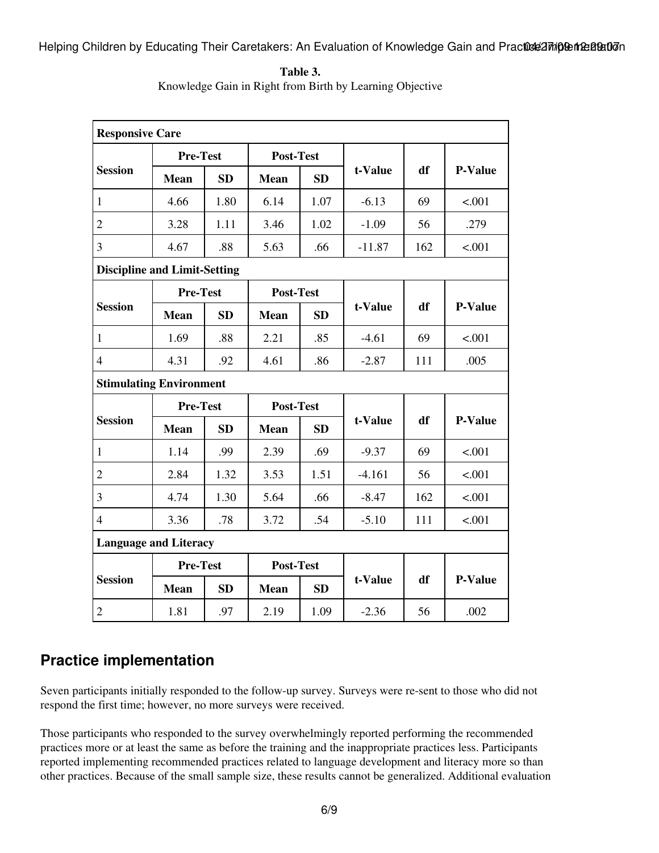Helping Children by Educating Their Caretakers: An Evaluation of Knowledge Gain and Practos 27/10 Para Batu

| <b>Responsive Care</b>              |                                |           |                  |           |          |     |                |
|-------------------------------------|--------------------------------|-----------|------------------|-----------|----------|-----|----------------|
| <b>Session</b>                      | <b>Pre-Test</b>                |           | <b>Post-Test</b> |           |          |     |                |
|                                     | <b>Mean</b>                    | <b>SD</b> | <b>Mean</b>      | <b>SD</b> | t-Value  | df  | <b>P-Value</b> |
| $\mathbf{1}$                        | 4.66                           | 1.80      | 6.14             | 1.07      | $-6.13$  | 69  | < .001         |
| $\overline{c}$                      | 3.28                           | 1.11      | 3.46             | 1.02      | $-1.09$  | 56  | .279           |
| $\mathfrak{Z}$                      | 4.67                           | .88       | 5.63             | .66       | $-11.87$ | 162 | < .001         |
| <b>Discipline and Limit-Setting</b> |                                |           |                  |           |          |     |                |
|                                     | <b>Pre-Test</b>                |           | Post-Test        |           |          |     |                |
| <b>Session</b>                      | <b>Mean</b>                    | SD        | <b>Mean</b>      | <b>SD</b> | t-Value  | df  | <b>P-Value</b> |
| $\mathbf{1}$                        | 1.69                           | .88       | 2.21             | .85       | $-4.61$  | 69  | < .001         |
| $\overline{4}$                      | 4.31                           | .92       | 4.61             | .86       | $-2.87$  | 111 | .005           |
|                                     | <b>Stimulating Environment</b> |           |                  |           |          |     |                |
|                                     | <b>Pre-Test</b>                |           | Post-Test        |           |          |     |                |
| <b>Session</b>                      | <b>Mean</b>                    | SD        | Mean             | <b>SD</b> | t-Value  | df  | <b>P-Value</b> |
| $\mathbf{1}$                        | 1.14                           | .99       | 2.39             | .69       | $-9.37$  | 69  | < .001         |
| $\sqrt{2}$                          | 2.84                           | 1.32      | 3.53             | 1.51      | $-4.161$ | 56  | < .001         |
| $\overline{3}$                      | 4.74                           | 1.30      | 5.64             | .66       | $-8.47$  | 162 | < .001         |
| $\overline{4}$                      | 3.36                           | .78       | 3.72             | .54       | $-5.10$  | 111 | < .001         |
| <b>Language and Literacy</b>        |                                |           |                  |           |          |     |                |
| <b>Session</b>                      | <b>Pre-Test</b>                |           | <b>Post-Test</b> |           |          |     |                |
|                                     | <b>Mean</b>                    | <b>SD</b> | <b>Mean</b>      | <b>SD</b> | t-Value  | df  | <b>P-Value</b> |
| $\overline{2}$                      | 1.81                           | .97       | 2.19             | 1.09      | $-2.36$  | 56  | .002           |

**Table 3.** Knowledge Gain in Right from Birth by Learning Objective

### **Practice implementation**

Seven participants initially responded to the follow-up survey. Surveys were re-sent to those who did not respond the first time; however, no more surveys were received.

Those participants who responded to the survey overwhelmingly reported performing the recommended practices more or at least the same as before the training and the inappropriate practices less. Participants reported implementing recommended practices related to language development and literacy more so than other practices. Because of the small sample size, these results cannot be generalized. Additional evaluation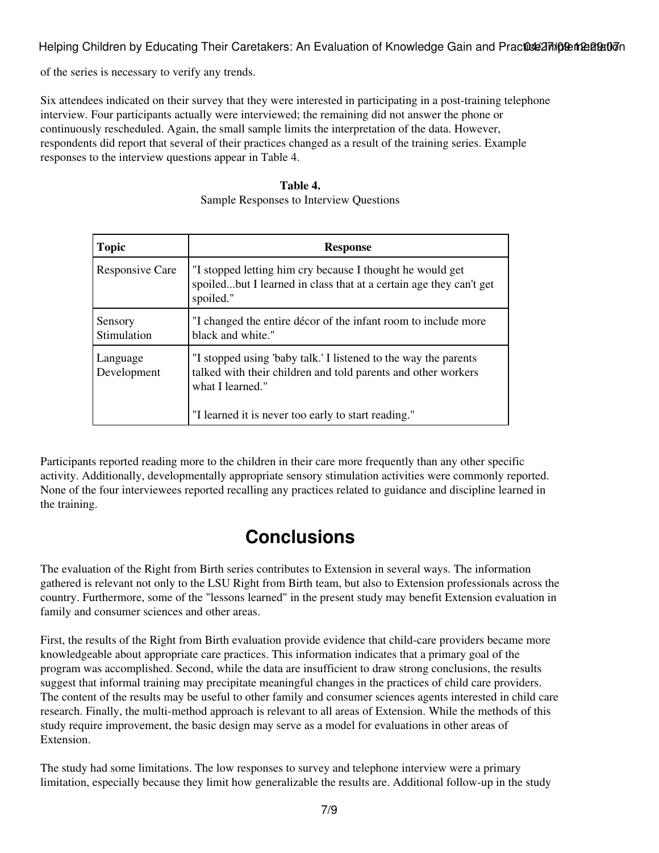Helping Children by Educating Their Caretakers: An Evaluation of Knowledge Gain and Practos 27/10 12:28:2017

of the series is necessary to verify any trends.

Six attendees indicated on their survey that they were interested in participating in a post-training telephone interview. Four participants actually were interviewed; the remaining did not answer the phone or continuously rescheduled. Again, the small sample limits the interpretation of the data. However, respondents did report that several of their practices changed as a result of the training series. Example responses to the interview questions appear in Table 4.

| <b>Topic</b>            | <b>Response</b>                                                                                                                                                                                             |
|-------------------------|-------------------------------------------------------------------------------------------------------------------------------------------------------------------------------------------------------------|
| <b>Responsive Care</b>  | "I stopped letting him cry because I thought he would get<br>spoiledbut I learned in class that at a certain age they can't get<br>spoiled."                                                                |
| Sensory<br>Stimulation  | "I changed the entire décor of the infant room to include more<br>black and white."                                                                                                                         |
| Language<br>Development | "I stopped using 'baby talk.' I listened to the way the parents<br>talked with their children and told parents and other workers<br>what I learned."<br>"I learned it is never too early to start reading." |

**Table 4.** Sample Responses to Interview Questions

Participants reported reading more to the children in their care more frequently than any other specific activity. Additionally, developmentally appropriate sensory stimulation activities were commonly reported. None of the four interviewees reported recalling any practices related to guidance and discipline learned in the training.

### **Conclusions**

The evaluation of the Right from Birth series contributes to Extension in several ways. The information gathered is relevant not only to the LSU Right from Birth team, but also to Extension professionals across the country. Furthermore, some of the "lessons learned" in the present study may benefit Extension evaluation in family and consumer sciences and other areas.

First, the results of the Right from Birth evaluation provide evidence that child-care providers became more knowledgeable about appropriate care practices. This information indicates that a primary goal of the program was accomplished. Second, while the data are insufficient to draw strong conclusions, the results suggest that informal training may precipitate meaningful changes in the practices of child care providers. The content of the results may be useful to other family and consumer sciences agents interested in child care research. Finally, the multi-method approach is relevant to all areas of Extension. While the methods of this study require improvement, the basic design may serve as a model for evaluations in other areas of Extension.

The study had some limitations. The low responses to survey and telephone interview were a primary limitation, especially because they limit how generalizable the results are. Additional follow-up in the study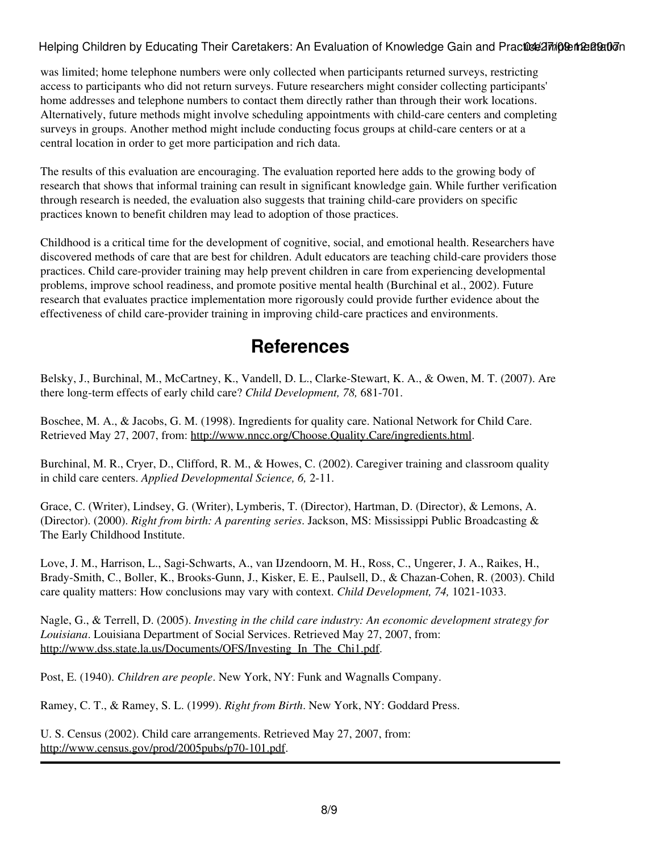#### Helping Children by Educating Their Caretakers: An Evaluation of Knowledge Gain and Practice Implementation

was limited; home telephone numbers were only collected when participants returned surveys, restricting access to participants who did not return surveys. Future researchers might consider collecting participants' home addresses and telephone numbers to contact them directly rather than through their work locations. Alternatively, future methods might involve scheduling appointments with child-care centers and completing surveys in groups. Another method might include conducting focus groups at child-care centers or at a central location in order to get more participation and rich data.

The results of this evaluation are encouraging. The evaluation reported here adds to the growing body of research that shows that informal training can result in significant knowledge gain. While further verification through research is needed, the evaluation also suggests that training child-care providers on specific practices known to benefit children may lead to adoption of those practices.

Childhood is a critical time for the development of cognitive, social, and emotional health. Researchers have discovered methods of care that are best for children. Adult educators are teaching child-care providers those practices. Child care-provider training may help prevent children in care from experiencing developmental problems, improve school readiness, and promote positive mental health (Burchinal et al., 2002). Future research that evaluates practice implementation more rigorously could provide further evidence about the effectiveness of child care-provider training in improving child-care practices and environments.

### **References**

Belsky, J., Burchinal, M., McCartney, K., Vandell, D. L., Clarke-Stewart, K. A., & Owen, M. T. (2007). Are there long-term effects of early child care? *Child Development, 78,* 681-701.

Boschee, M. A., & Jacobs, G. M. (1998). Ingredients for quality care. National Network for Child Care. Retrieved May 27, 2007, from:<http://www.nncc.org/Choose.Quality.Care/ingredients.html>.

Burchinal, M. R., Cryer, D., Clifford, R. M., & Howes, C. (2002). Caregiver training and classroom quality in child care centers. *Applied Developmental Science, 6,* 2-11.

Grace, C. (Writer), Lindsey, G. (Writer), Lymberis, T. (Director), Hartman, D. (Director), & Lemons, A. (Director). (2000). *Right from birth: A parenting series*. Jackson, MS: Mississippi Public Broadcasting & The Early Childhood Institute.

Love, J. M., Harrison, L., Sagi-Schwarts, A., van IJzendoorn, M. H., Ross, C., Ungerer, J. A., Raikes, H., Brady-Smith, C., Boller, K., Brooks-Gunn, J., Kisker, E. E., Paulsell, D., & Chazan-Cohen, R. (2003). Child care quality matters: How conclusions may vary with context. *Child Development, 74,* 1021-1033.

Nagle, G., & Terrell, D. (2005). *Investing in the child care industry: An economic development strategy for Louisiana*. Louisiana Department of Social Services. Retrieved May 27, 2007, from: http://www.dss.state.la.us/Documents/OFS/Investing In The Chi1.pdf.

Post, E. (1940). *Children are people*. New York, NY: Funk and Wagnalls Company.

Ramey, C. T., & Ramey, S. L. (1999). *Right from Birth*. New York, NY: Goddard Press.

U. S. Census (2002). Child care arrangements. Retrieved May 27, 2007, from: <http://www.census.gov/prod/2005pubs/p70-101.pdf>.